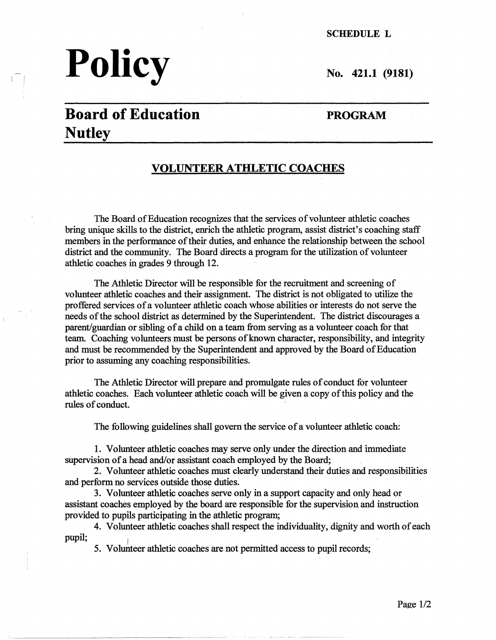# **Policy** No. 421.1 (9181)

**SCHEDULE L** 

# **Board of Education Nutley**

#### **PROGRAM**

#### **VOLUNTEER ATHLETIC COACHES**

The Board of Education recognizes that the services of volunteer athletic coaches bring unique skills to the district, enrich the athletic program, assist district's coaching staff members in the performance of their duties, and enhance the relationship between the school district and the community. The Board directs a program for the utilization of volunteer athletic coaches in grades 9 through 12.

The Athletic Director will be responsible for the recruitment and screening of volunteer athletic coaches and their assignment. The district is not obligated to utilize the proffered services of a volunteer athletic coach whose abilities or interests do not serve the needs of the school district as determined by the Superintendent. The district discourages a parent/guardian or sibling of a child on a team from serving as a volunteer coach for that team. Coaching volunteers must be persons of known character, responsibility, and integrity and must be recommended by the Superintendent and approved by the Board of Education prior to assuming any coaching responsibilities.

The Athletic Director will prepare and promulgate rules of conduct for volunteer athletic coaches. Each volunteer athletic coach will be given a copy of this policy and the rules of conduct.

The following guidelines shall govern the service of a volunteer athletic coach:

1. Volunteer athletic coaches may serve only under the direction and immediate supervision of a head and/or assistant coach employed by the Board;

2. Volunteer athletic coaches must clearly understand their duties and responsibilities and perform no services outside those duties.

3. Volunteer athletic coaches serve only in a support capacity and only head or assistant coaches employed by the board are responsible for the supervision and instruction provided to pupils participating in the athletic program;

4. Volunteer athletic coaches shall respect the individuality, dignity and worth of each pupil;

5. Volunteer athletic coaches are not permitted access to pupil records;